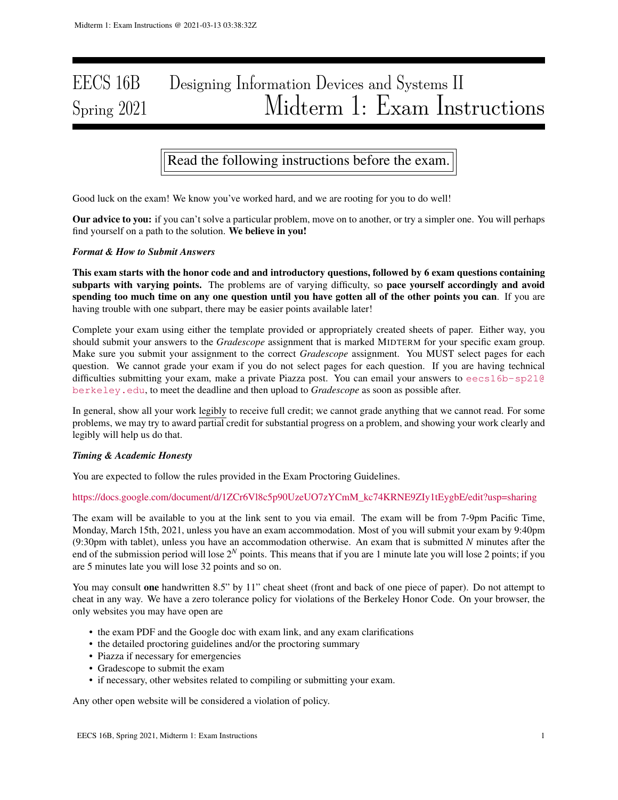# EECS 16B Designing Information Devices and Systems II Spring 2021 Midterm 1: Exam Instructions

Read the following instructions before the exam.

Good luck on the exam! We know you've worked hard, and we are rooting for you to do well!

Our advice to you: if you can't solve a particular problem, move on to another, or try a simpler one. You will perhaps find yourself on a path to the solution. We believe in you!

# *Format & How to Submit Answers*

This exam starts with the honor code and and introductory questions, followed by 6 exam questions containing subparts with varying points. The problems are of varying difficulty, so pace yourself accordingly and avoid spending too much time on any one question until you have gotten all of the other points you can. If you are having trouble with one subpart, there may be easier points available later!

Complete your exam using either the template provided or appropriately created sheets of paper. Either way, you should submit your answers to the *Gradescope* assignment that is marked MIDTERM for your specific exam group. Make sure you submit your assignment to the correct *Gradescope* assignment. You MUST select pages for each question. We cannot grade your exam if you do not select pages for each question. If you are having technical difficulties submitting your exam, make a private Piazza post. You can email your answers to eecs16b-sp210 berkeley.edu, to meet the deadline and then upload to *Gradescope* as soon as possible after.

In general, show all your work legibly to receive full credit; we cannot grade anything that we cannot read. For some problems, we may try to award partial credit for substantial progress on a problem, and showing your work clearly and legibly will help us do that.

# *Timing & Academic Honesty*

You are expected to follow the rules provided in the Exam Proctoring Guidelines.

### https://docs.google.com/document/d/1ZCr6Vl8c5p90UzeUO7zYCmM\_kc74KRNE9ZIy1tEygbE/edit?usp=sharing

The exam will be available to you at the link sent to you via email. The exam will be from 7-9pm Pacific Time, Monday, March 15th, 2021, unless you have an exam accommodation. Most of you will submit your exam by 9:40pm (9:30pm with tablet), unless you have an accommodation otherwise. An exam that is submitted *N* minutes after the end of the submission period will lose 2*<sup>N</sup>* points. This means that if you are 1 minute late you will lose 2 points; if you are 5 minutes late you will lose 32 points and so on.

You may consult one handwritten 8.5" by 11" cheat sheet (front and back of one piece of paper). Do not attempt to cheat in any way. We have a zero tolerance policy for violations of the Berkeley Honor Code. On your browser, the only websites you may have open are

- the exam PDF and the Google doc with exam link, and any exam clarifications
- the detailed proctoring guidelines and/or the proctoring summary
- Piazza if necessary for emergencies
- Gradescope to submit the exam
- if necessary, other websites related to compiling or submitting your exam.

Any other open website will be considered a violation of policy.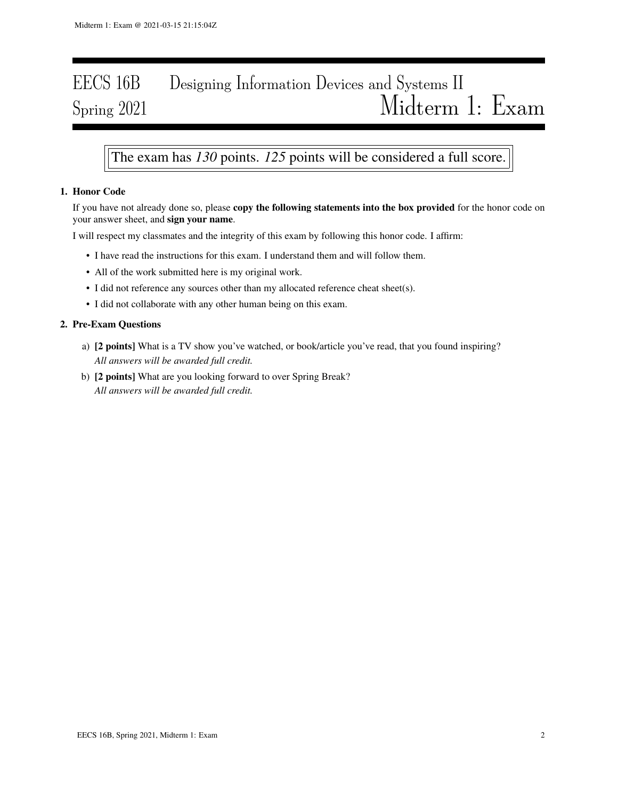# EECS 16B Designing Information Devices and Systems II Spring 2021 Midterm 1: Exam

# The exam has *130* points. *125* points will be considered a full score.

# 1. Honor Code

If you have not already done so, please copy the following statements into the box provided for the honor code on your answer sheet, and sign your name.

I will respect my classmates and the integrity of this exam by following this honor code. I affirm:

- I have read the instructions for this exam. I understand them and will follow them.
- All of the work submitted here is my original work.
- I did not reference any sources other than my allocated reference cheat sheet(s).
- I did not collaborate with any other human being on this exam.

# 2. Pre-Exam Questions

- a) [2 points] What is a TV show you've watched, or book/article you've read, that you found inspiring? *All answers will be awarded full credit.*
- b) [2 points] What are you looking forward to over Spring Break? *All answers will be awarded full credit.*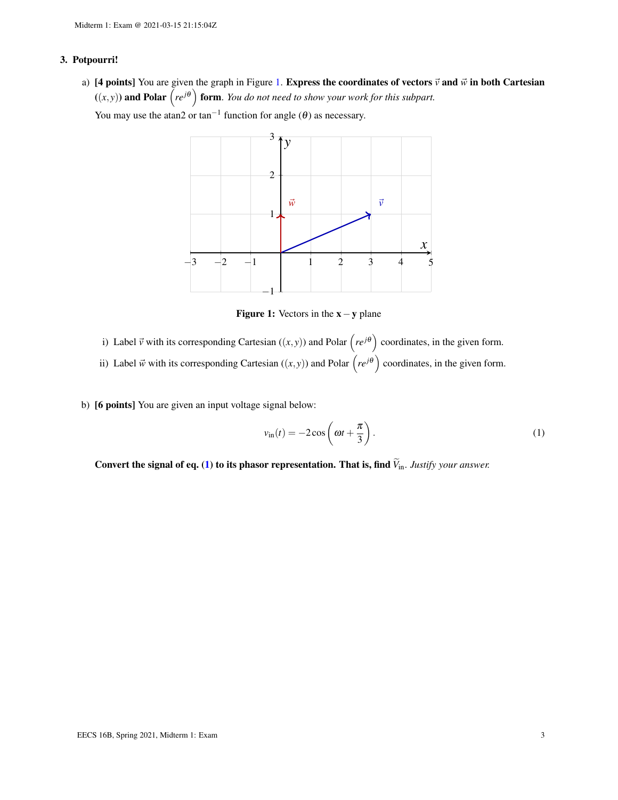# 3. Potpourri!

a) [4 points] You are given the graph in Figure [1.](#page-2-0) Express the coordinates of vectors  $\vec{v}$  and  $\vec{w}$  in both Cartesian  $((x, y))$  and Polar  $(re^{j\theta})$  form. *You do not need to show your work for this subpart.* 

<span id="page-2-0"></span>You may use the atan2 or tan<sup>-1</sup> function for angle  $(\theta)$  as necessary.



Figure 1: Vectors in the  $x - y$  plane

- i) Label  $\vec{v}$  with its corresponding Cartesian  $((x, y))$  and Polar  $(re^{j\theta})$  coordinates, in the given form.
- ii) Label  $\vec{w}$  with its corresponding Cartesian  $((x, y))$  and Polar  $(re^{j\theta})$  coordinates, in the given form.
- b) [6 points] You are given an input voltage signal below:

<span id="page-2-1"></span>
$$
v_{\rm in}(t) = -2\cos\left(\omega t + \frac{\pi}{3}\right). \tag{1}
$$

Convert the signal of eq. [\(1\)](#page-2-1) to its phasor representation. That is, find  $\widetilde{V}_{\text{in}}$ . *Justify your answer.*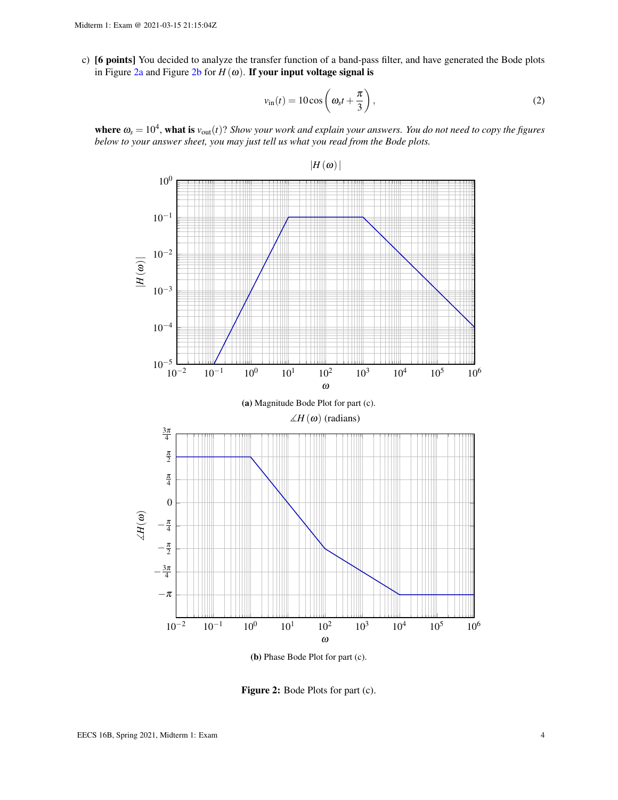c) [6 points] You decided to analyze the transfer function of a band-pass filter, and have generated the Bode plots in Figure  $2a$  and Figure  $2b$  for  $H(\omega)$ . If your input voltage signal is

$$
v_{\rm in}(t) = 10\cos\left(\omega_s t + \frac{\pi}{3}\right),\tag{2}
$$

<span id="page-3-0"></span>**where**  $\omega_s = 10^4$ , **what is**  $v_{\text{out}}(t)$ ? *Show your work and explain your answers. You do not need to copy the figures below to your answer sheet, you may just tell us what you read from the Bode plots.*



(b) Phase Bode Plot for part (c).

Figure 2: Bode Plots for part (c).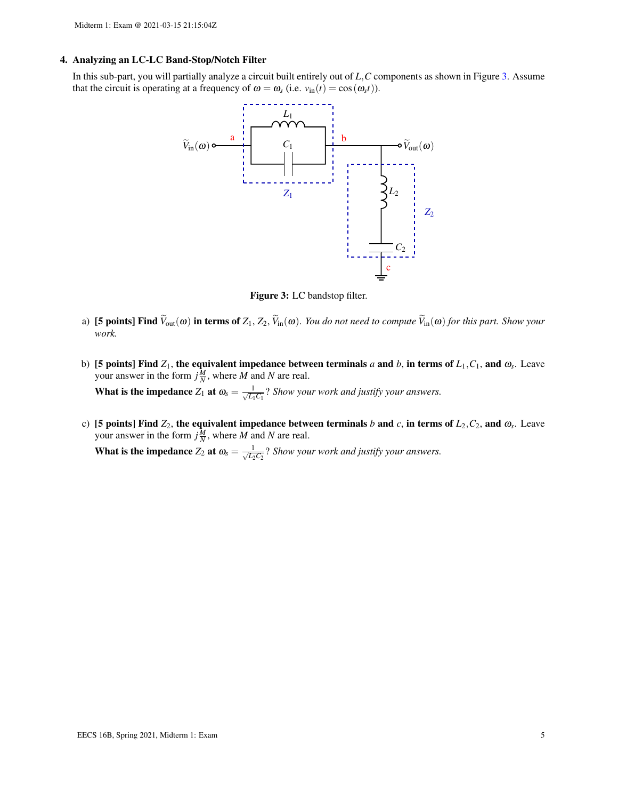#### 4. Analyzing an LC-LC Band-Stop/Notch Filter

<span id="page-4-0"></span>In this sub-part, you will partially analyze a circuit built entirely out of *L*,*C* components as shown in Figure [3.](#page-4-0) Assume that the circuit is operating at a frequency of  $\omega = \omega_s$  (i.e.  $v_{\text{in}}(t) = \cos(\omega_s t)$ ).



Figure 3: LC bandstop filter.

- a) **[5 points] Find**  $\widetilde{V}_{out}(\omega)$  in terms of  $Z_1, Z_2, \widetilde{V}_{in}(\omega)$ . *You do not need to compute*  $\widetilde{V}_{in}(\omega)$  *for this part. Show your work.*
- b) [5 points] Find  $Z_1$ , the equivalent impedance between terminals *a* and *b*, in terms of  $L_1, C_1$ , and  $\omega_s$ . Leave your answer in the form  $j\frac{M}{N}$ , where *M* and *N* are real. What is the impedance  $Z_1$  at  $\omega_s = \frac{1}{\sqrt{L_s}}$  $\frac{1}{L_1C_1}$ ? *Show your work and justify your answers.*
- c) [5 points] Find  $Z_2$ , the equivalent impedance between terminals *b* and *c*, in terms of  $L_2$ ,  $C_2$ , and  $\omega_s$ . Leave your answer in the form  $j\frac{M}{N}$ , where *M* and *N* are real.

What is the impedance  $Z_2$  at  $\omega_s = \frac{1}{\sqrt{L_0}}$  $\frac{1}{L_2C_2}$ ? *Show your work and justify your answers.*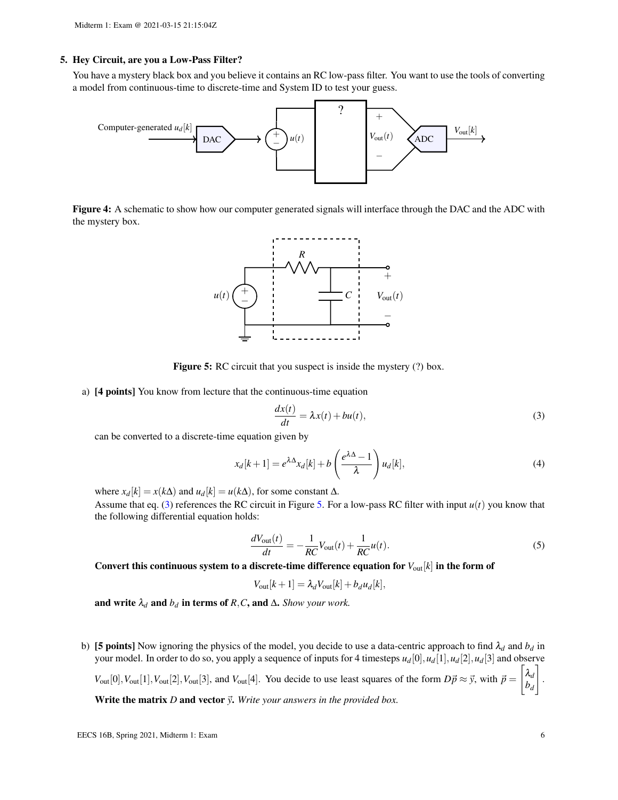### 5. Hey Circuit, are you a Low-Pass Filter?

You have a mystery black box and you believe it contains an RC low-pass filter. You want to use the tools of converting a model from continuous-time to discrete-time and System ID to test your guess.



<span id="page-5-1"></span>Figure 4: A schematic to show how our computer generated signals will interface through the DAC and the ADC with the mystery box.



Figure 5: RC circuit that you suspect is inside the mystery (?) box.

a) [4 points] You know from lecture that the continuous-time equation

<span id="page-5-0"></span>
$$
\frac{dx(t)}{dt} = \lambda x(t) + bu(t),
$$
\n(3)

can be converted to a discrete-time equation given by

$$
x_d[k+1] = e^{\lambda \Delta} x_d[k] + b\left(\frac{e^{\lambda \Delta} - 1}{\lambda}\right) u_d[k],\tag{4}
$$

where  $x_d[k] = x(k\Delta)$  and  $u_d[k] = u(k\Delta)$ , for some constant  $\Delta$ .

Assume that eq. [\(3\)](#page-5-0) references the RC circuit in Figure [5.](#page-5-1) For a low-pass RC filter with input  $u(t)$  you know that the following differential equation holds:

$$
\frac{dV_{\text{out}}(t)}{dt} = -\frac{1}{RC}V_{\text{out}}(t) + \frac{1}{RC}u(t).
$$
\n(5)

Convert this continuous system to a discrete-time difference equation for  $V_{\text{out}}[k]$  in the form of

$$
V_{\text{out}}[k+1] = \lambda_d V_{\text{out}}[k] + b_d u_d[k],
$$

and write  $\lambda_d$  and  $b_d$  in terms of *R*,*C*, and  $\Delta$ . *Show your work.* 

b) [5 points] Now ignoring the physics of the model, you decide to use a data-centric approach to find  $\lambda_d$  and  $b_d$  in your model. In order to do so, you apply a sequence of inputs for 4 timesteps *ud*[0],*ud*[1],*ud*[2],*ud*[3] and observe  $V_{\text{out}}[0], V_{\text{out}}[1], V_{\text{out}}[2], V_{\text{out}}[3],$  and  $V_{\text{out}}[4]$ . You decide to use least squares of the form  $D\vec{p} \approx \vec{y}$ , with  $\vec{p} =$  $\big[ \lambda_d$ *bd* 1 . Write the matrix  $D$  and vector  $\vec{y}$ . Write your answers in the provided box.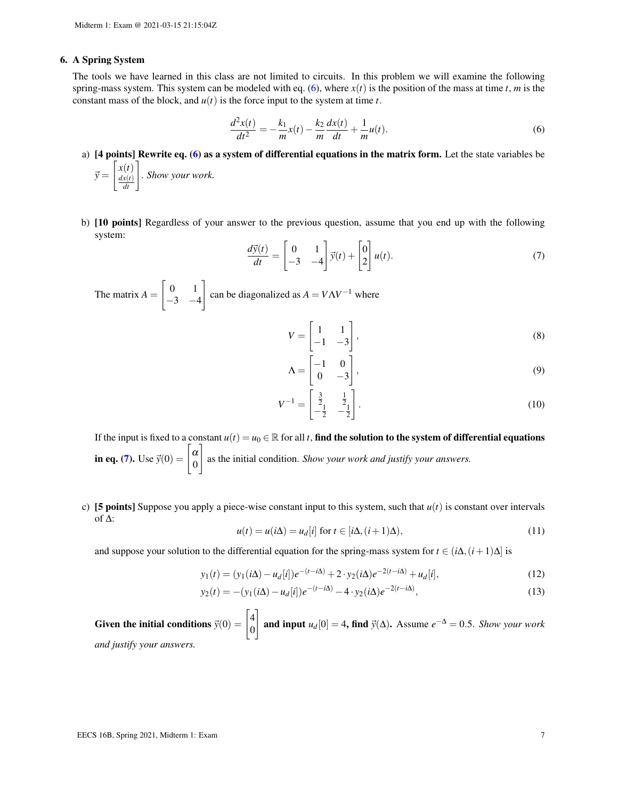#### 6. A Spring System

The tools we have learned in this class are not limited to circuits. In this problem we will examine the following spring-mass system. This system can be modeled with eq.  $(6)$ , where  $x(t)$  is the position of the mass at time *t*, *m* is the constant mass of the block, and  $u(t)$  is the force input to the system at time  $t$ .

<span id="page-6-0"></span>
$$
\frac{d^2x(t)}{dt^2} = -\frac{k_1}{m}x(t) - \frac{k_2}{m}\frac{dx(t)}{dt} + \frac{1}{m}u(t).
$$
\n(6)

- a) [4 points] Rewrite eq. [\(6\)](#page-6-0) as a system of differential equations in the matrix form. Let the state variables be  $\vec{y} =$  $\int x(t)$ *dx*(*t*)  $\left(\begin{array}{c} t \\ \frac{x(t)}{dt} \end{array}\right]$ . *Show your work.*
- b) [10 points] Regardless of your answer to the previous question, assume that you end up with the following system:

<span id="page-6-1"></span>
$$
\frac{d\vec{y}(t)}{dt} = \begin{bmatrix} 0 & 1 \\ -3 & -4 \end{bmatrix} \vec{y}(t) + \begin{bmatrix} 0 \\ 2 \end{bmatrix} u(t).
$$
\n(7)

The matrix  $A =$  $\begin{bmatrix} 0 & 1 \end{bmatrix}$  $-3$   $-4$ 1 can be diagonalized as  $A = V\Lambda V^{-1}$  where

$$
V = \begin{bmatrix} 1 & 1 \\ -1 & -3 \end{bmatrix},\tag{8}
$$

$$
\Lambda = \begin{bmatrix} -1 & 0 \\ 0 & -3 \end{bmatrix},\tag{9}
$$

$$
V^{-1} = \begin{bmatrix} \frac{3}{2} & \frac{1}{2} \\ -\frac{1}{2} & -\frac{1}{2} \end{bmatrix} . \tag{10}
$$

If the input is fixed to a constant  $u(t) = u_0 \in \mathbb{R}$  for all *t*, **find the solution to the system of differential equations in eq. [\(7\)](#page-6-1).** Use  $\vec{y}(0) = \begin{bmatrix} \alpha & 0 \\ 0 & \alpha \end{bmatrix}$ 0 1 as the initial condition. *Show your work and justify your answers.*

c) **[5 points]** Suppose you apply a piece-wise constant input to this system, such that  $u(t)$  is constant over intervals of ∆:

$$
u(t) = u(i\Delta) = u_d[i] \text{ for } t \in [i\Delta, (i+1)\Delta), \tag{11}
$$

and suppose your solution to the differential equation for the spring-mass system for  $t \in (i\Delta, (i+1)\Delta]$  is

$$
y_1(t) = (y_1(i\Delta) - u_d[i])e^{-(t-i\Delta)} + 2 \cdot y_2(i\Delta)e^{-2(t-i\Delta)} + u_d[i],
$$
\n(12)

$$
y_2(t) = -(y_1(i\Delta) - u_d[i])e^{-(t-i\Delta)} - 4 \cdot y_2(i\Delta)e^{-2(t-i\Delta)},
$$
\n(13)

Given the initial conditions  $\vec{y}(0) = \begin{bmatrix} 4 \\ 0 \end{bmatrix}$ 0 1 and input  $u_d[0] = 4$ , find  $\vec{y}(\Delta)$ . Assume  $e^{-\Delta} = 0.5$ . *Show your work and justify your answers.*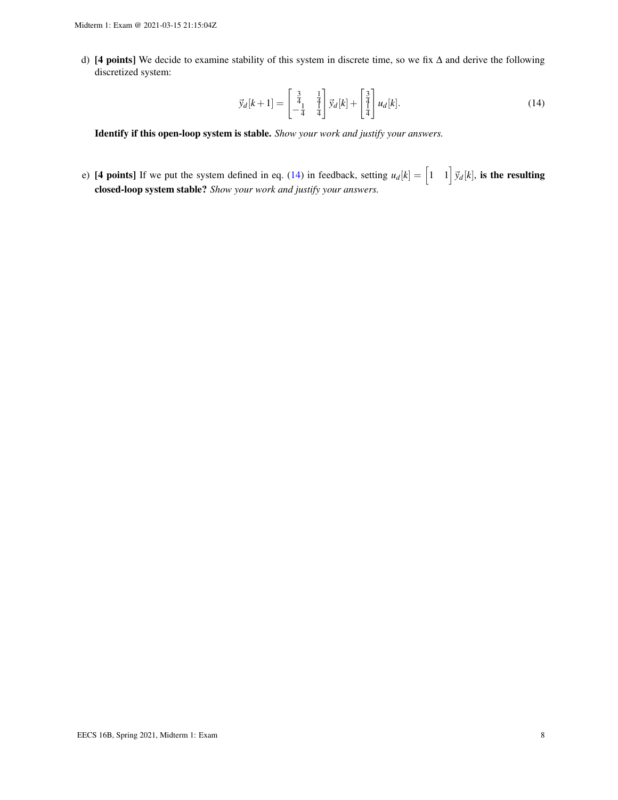d) [4 points] We decide to examine stability of this system in discrete time, so we fix ∆ and derive the following discretized system:

<span id="page-7-0"></span>
$$
\vec{y}_d[k+1] = \begin{bmatrix} \frac{3}{4} & \frac{1}{4} \\ -\frac{1}{4} & \frac{1}{4} \end{bmatrix} \vec{y}_d[k] + \begin{bmatrix} \frac{3}{4} \\ \frac{1}{4} \end{bmatrix} u_d[k].\tag{14}
$$

Identify if this open-loop system is stable. *Show your work and justify your answers.*

e) [4 points] If we put the system defined in eq. [\(14\)](#page-7-0) in feedback, setting  $u_d[k] = \begin{bmatrix} 1 & 1 \end{bmatrix} \vec{y}_d[k]$ , is the resulting closed-loop system stable? *Show your work and justify your answers.*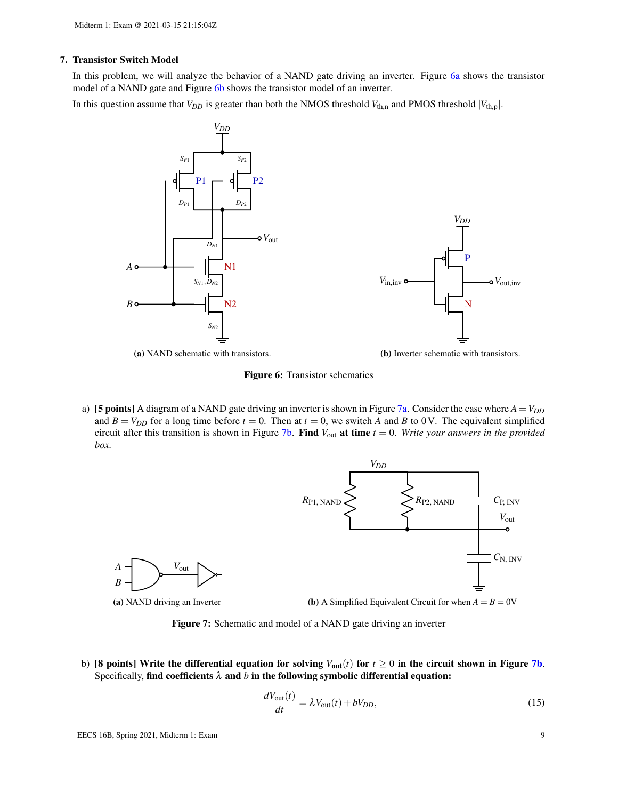### 7. Transistor Switch Model

In this problem, we will analyze the behavior of a NAND gate driving an inverter. Figure [6a](#page-8-0) shows the transistor model of a NAND gate and Figure [6b](#page-8-0) shows the transistor model of an inverter.

<span id="page-8-0"></span>In this question assume that  $V_{DD}$  is greater than both the NMOS threshold  $V_{th,n}$  and PMOS threshold  $|V_{th,p}|$ .



(a) NAND schematic with transistors.

(b) Inverter schematic with transistors.

P

*VDD*

N

 $V_{\text{in,inv}}$  **0**  $V_{\text{out,inv}}$ 

Figure 6: Transistor schematics

<span id="page-8-1"></span>a) [5 points] A diagram of a NAND gate driving an inverter is shown in Figure [7a.](#page-8-1) Consider the case where  $A = V_{DD}$ and  $B = V_{DD}$  for a long time before  $t = 0$ . Then at  $t = 0$ , we switch *A* and *B* to 0V. The equivalent simplified circuit after this transition is shown in Figure [7b.](#page-8-1) Find *V*out at time *t* = 0. *Write your answers in the provided box.*



(a) NAND driving an Inverter

*V*out

Figure 7: Schematic and model of a NAND gate driving an inverter

b) [8 points] Write the differential equation for solving  $V_{\text{out}}(t)$  for  $t \ge 0$  in the circuit shown in Figure [7b](#page-8-1). Specifically, find coefficients  $\lambda$  and  $b$  in the following symbolic differential equation:

<span id="page-8-2"></span>
$$
\frac{dV_{\text{out}}(t)}{dt} = \lambda V_{\text{out}}(t) + bV_{DD},\tag{15}
$$

*A B*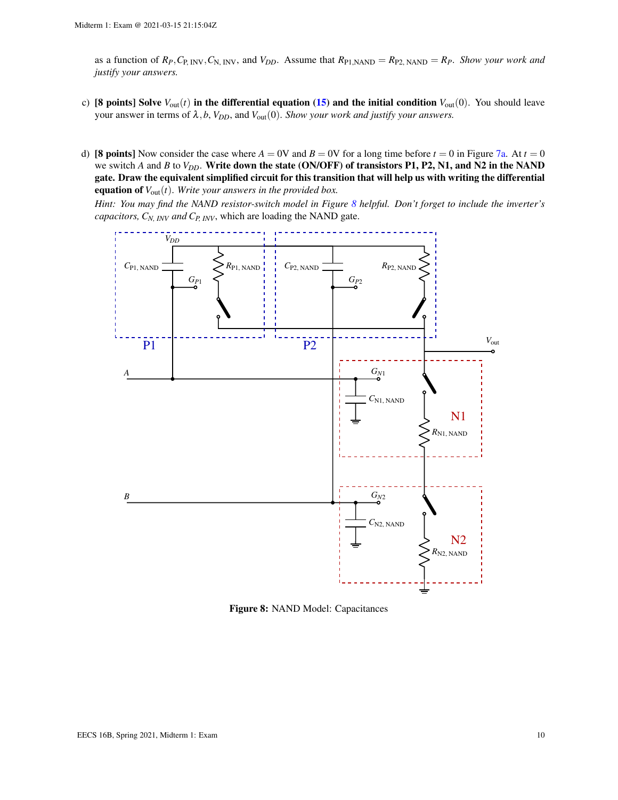as a function of  $R_P$ ,  $C_{P, \text{INV}}, C_{N, \text{INV}},$  and  $V_{DD}$ . Assume that  $R_{P1, \text{NAND}} = R_{P2, \text{NAND}} = R_P$ . *Show your work and justify your answers.*

- c) [8 points] Solve  $V_{out}(t)$  in the differential equation [\(15\)](#page-8-2) and the initial condition  $V_{out}(0)$ . You should leave your answer in terms of  $\lambda$ ,  $b$ ,  $V_{DD}$ , and  $V_{out}(0)$ . *Show your work and justify your answers.*
- d) **[8 points]** Now consider the case where  $A = 0V$  and  $B = 0V$  for a long time before  $t = 0$  in Figure [7a.](#page-8-1) At  $t = 0$ we switch *A* and *B* to *V<sub>DD</sub>*. Write down the state (ON/OFF) of transistors P1, P2, N1, and N2 in the NAND gate. Draw the equivalent simplified circuit for this transition that will help us with writing the differential equation of  $V_{out}(t)$ . *Write your answers in the provided box.*

<span id="page-9-0"></span>*Hint: You may find the NAND resistor-switch model in Figure [8](#page-9-0) helpful. Don't forget to include the inverter's capacitors, CN, INV and CP, INV*, which are loading the NAND gate.



Figure 8: NAND Model: Capacitances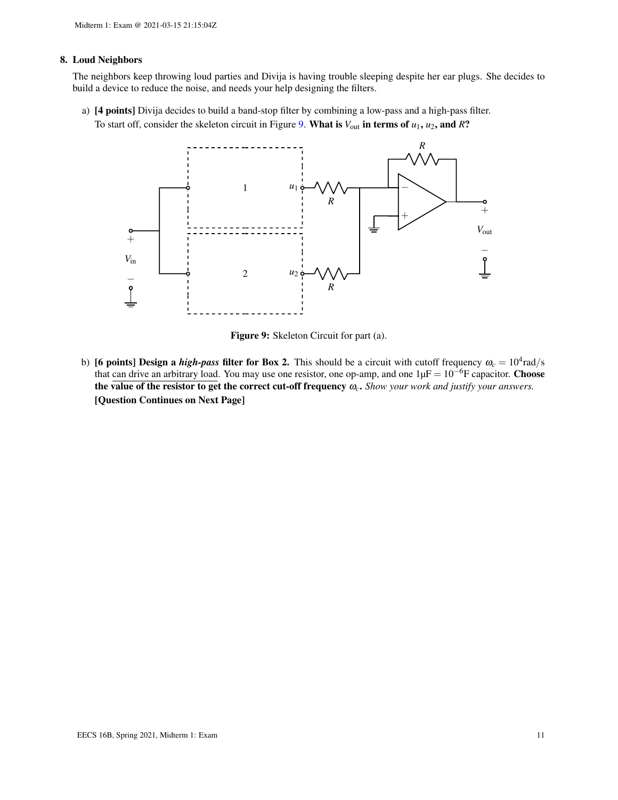### 8. Loud Neighbors

The neighbors keep throwing loud parties and Divija is having trouble sleeping despite her ear plugs. She decides to build a device to reduce the noise, and needs your help designing the filters.

- <span id="page-10-0"></span>a) [4 points] Divija decides to build a band-stop filter by combining a low-pass and a high-pass filter.
	- To start off, consider the skeleton circuit in Figure [9.](#page-10-0) What is  $V_{\text{out}}$  in terms of  $u_1, u_2$ , and  $R$ ?



Figure 9: Skeleton Circuit for part (a).

b) [6 points] Design a *high-pass* filter for Box 2. This should be a circuit with cutoff frequency  $\omega_c = 10^4$  rad/s that can drive an arbitrary load. You may use one resistor, one op-amp, and one  $1\mu F = 10^{-6}F$  capacitor. **Choose** the value of the resistor to get the correct cut-off frequency ω*c*. *Show your work and justify your answers.* [Question Continues on Next Page]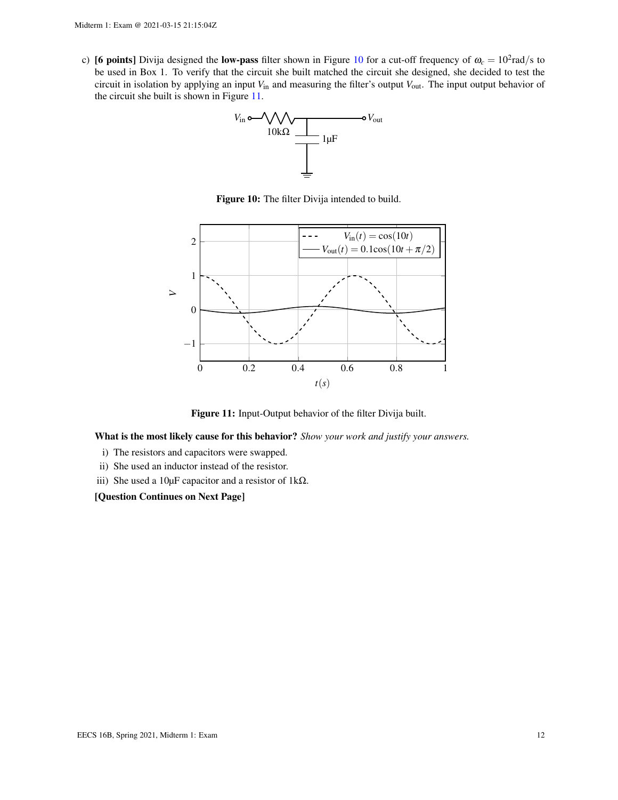<span id="page-11-0"></span>c) [6 points] Divija designed the low-pass filter shown in Figure [10](#page-11-0) for a cut-off frequency of  $\omega_c = 10^2$ rad/s to be used in Box 1. To verify that the circuit she built matched the circuit she designed, she decided to test the circuit in isolation by applying an input *V*in and measuring the filter's output *V*out. The input output behavior of the circuit she built is shown in Figure [11.](#page-11-1)



Figure 10: The filter Divija intended to build.

<span id="page-11-1"></span>

Figure 11: Input-Output behavior of the filter Divija built.

What is the most likely cause for this behavior? *Show your work and justify your answers.*

- i) The resistors and capacitors were swapped.
- ii) She used an inductor instead of the resistor.
- iii) She used a 10µF capacitor and a resistor of 1 $k\Omega$ .

[Question Continues on Next Page]